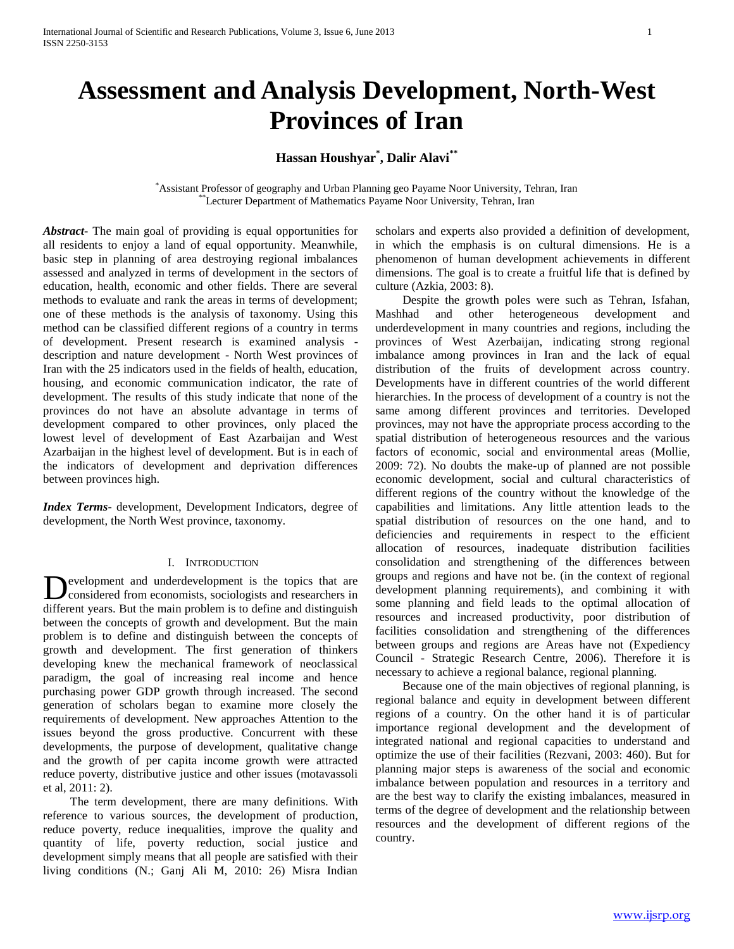# **Assessment and Analysis Development, North-West Provinces of Iran**

## **Hassan Houshyar\* , Dalir Alavi\*\***

\*Assistant Professor of geography and Urban Planning geo Payame Noor University, Tehran, Iran \*Lecturer Department of Mathematics Payame Noor University, Tehran, Iran

*Abstract***-** The main goal of providing is equal opportunities for all residents to enjoy a land of equal opportunity. Meanwhile, basic step in planning of area destroying regional imbalances assessed and analyzed in terms of development in the sectors of education, health, economic and other fields. There are several methods to evaluate and rank the areas in terms of development; one of these methods is the analysis of taxonomy. Using this method can be classified different regions of a country in terms of development. Present research is examined analysis description and nature development - North West provinces of Iran with the 25 indicators used in the fields of health, education, housing, and economic communication indicator, the rate of development. The results of this study indicate that none of the provinces do not have an absolute advantage in terms of development compared to other provinces, only placed the lowest level of development of East Azarbaijan and West Azarbaijan in the highest level of development. But is in each of the indicators of development and deprivation differences between provinces high.

*Index Terms*- development, Development Indicators, degree of development, the North West province, taxonomy.

## I. INTRODUCTION

evelopment and underdevelopment is the topics that are considered from economists, sociologists and researchers in Development and underdevelopment is the topics that are considered from economists, sociologists and researchers in different years. But the main problem is to define and distinguish between the concepts of growth and development. But the main problem is to define and distinguish between the concepts of growth and development. The first generation of thinkers developing knew the mechanical framework of neoclassical paradigm, the goal of increasing real income and hence purchasing power GDP growth through increased. The second generation of scholars began to examine more closely the requirements of development. New approaches Attention to the issues beyond the gross productive. Concurrent with these developments, the purpose of development, qualitative change and the growth of per capita income growth were attracted reduce poverty, distributive justice and other issues (motavassoli et al, 2011: 2).

 The term development, there are many definitions. With reference to various sources, the development of production, reduce poverty, reduce inequalities, improve the quality and quantity of life, poverty reduction, social justice and development simply means that all people are satisfied with their living conditions (N.; Ganj Ali M, 2010: 26) Misra Indian scholars and experts also provided a definition of development, in which the emphasis is on cultural dimensions. He is a phenomenon of human development achievements in different dimensions. The goal is to create a fruitful life that is defined by culture (Azkia, 2003: 8).

 Despite the growth poles were such as Tehran, Isfahan, Mashhad and other heterogeneous development and underdevelopment in many countries and regions, including the provinces of West Azerbaijan, indicating strong regional imbalance among provinces in Iran and the lack of equal distribution of the fruits of development across country. Developments have in different countries of the world different hierarchies. In the process of development of a country is not the same among different provinces and territories. Developed provinces, may not have the appropriate process according to the spatial distribution of heterogeneous resources and the various factors of economic, social and environmental areas (Mollie, 2009: 72). No doubts the make-up of planned are not possible economic development, social and cultural characteristics of different regions of the country without the knowledge of the capabilities and limitations. Any little attention leads to the spatial distribution of resources on the one hand, and to deficiencies and requirements in respect to the efficient allocation of resources, inadequate distribution facilities consolidation and strengthening of the differences between groups and regions and have not be. (in the context of regional development planning requirements), and combining it with some planning and field leads to the optimal allocation of resources and increased productivity, poor distribution of facilities consolidation and strengthening of the differences between groups and regions are Areas have not (Expediency Council - Strategic Research Centre, 2006). Therefore it is necessary to achieve a regional balance, regional planning.

 Because one of the main objectives of regional planning, is regional balance and equity in development between different regions of a country. On the other hand it is of particular importance regional development and the development of integrated national and regional capacities to understand and optimize the use of their facilities (Rezvani, 2003: 460). But for planning major steps is awareness of the social and economic imbalance between population and resources in a territory and are the best way to clarify the existing imbalances, measured in terms of the degree of development and the relationship between resources and the development of different regions of the country.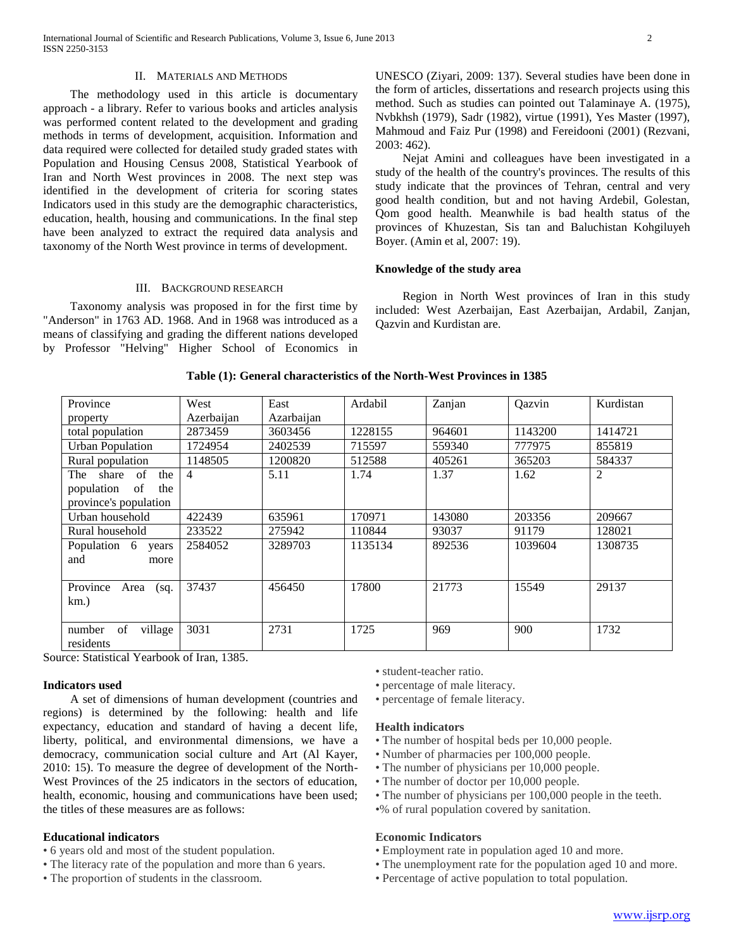#### II. MATERIALS AND METHODS

 The methodology used in this article is documentary approach - a library. Refer to various books and articles analysis was performed content related to the development and grading methods in terms of development, acquisition. Information and data required were collected for detailed study graded states with Population and Housing Census 2008, Statistical Yearbook of Iran and North West provinces in 2008. The next step was identified in the development of criteria for scoring states Indicators used in this study are the demographic characteristics, education, health, housing and communications. In the final step have been analyzed to extract the required data analysis and taxonomy of the North West province in terms of development.

## III. BACKGROUND RESEARCH

 Taxonomy analysis was proposed in for the first time by "Anderson" in 1763 AD. 1968. And in 1968 was introduced as a means of classifying and grading the different nations developed by Professor "Helving" Higher School of Economics in

UNESCO (Ziyari, 2009: 137). Several studies have been done in the form of articles, dissertations and research projects using this method. Such as studies can pointed out Talaminaye A. (1975), Nvbkhsh (1979), Sadr (1982), virtue (1991), Yes Master (1997), Mahmoud and Faiz Pur (1998) and Fereidooni (2001) (Rezvani, 2003: 462).

 Nejat Amini and colleagues have been investigated in a study of the health of the country's provinces. The results of this study indicate that the provinces of Tehran, central and very good health condition, but and not having Ardebil, Golestan, Qom good health. Meanwhile is bad health status of the provinces of Khuzestan, Sis tan and Baluchistan Kohgiluyeh Boyer. (Amin et al, 2007: 19).

## **Knowledge of the study area**

 Region in North West provinces of Iran in this study included: West Azerbaijan, East Azerbaijan, Ardabil, Zanjan, Qazvin and Kurdistan are.

| Province                                                                      | West           | East       | Ardabil | Zanjan | Qazvin  | Kurdistan |
|-------------------------------------------------------------------------------|----------------|------------|---------|--------|---------|-----------|
| property                                                                      | Azerbaijan     | Azarbaijan |         |        |         |           |
| total population                                                              | 2873459        | 3603456    | 1228155 | 964601 | 1143200 | 1414721   |
| <b>Urban Population</b>                                                       | 1724954        | 2402539    | 715597  | 559340 | 777975  | 855819    |
| Rural population                                                              | 1148505        | 1200820    | 512588  | 405261 | 365203  | 584337    |
| of<br>share<br>The<br>the<br>population<br>of<br>the<br>province's population | $\overline{4}$ | 5.11       | 1.74    | 1.37   | 1.62    | 2         |
| Urban household                                                               | 422439         | 635961     | 170971  | 143080 | 203356  | 209667    |
| Rural household                                                               | 233522         | 275942     | 110844  | 93037  | 91179   | 128021    |
| Population 6<br>years<br>and<br>more                                          | 2584052        | 3289703    | 1135134 | 892536 | 1039604 | 1308735   |
| Province<br>Area<br>(sq)<br>$km.$ )                                           | 37437          | 456450     | 17800   | 21773  | 15549   | 29137     |
| of<br>village<br>number<br>residents                                          | 3031           | 2731       | 1725    | 969    | 900     | 1732      |

#### **Table (1): General characteristics of the North-West Provinces in 1385**

Source: Statistical Yearbook of Iran, 1385.

## **Indicators used**

 A set of dimensions of human development (countries and regions) is determined by the following: health and life expectancy, education and standard of having a decent life, liberty, political, and environmental dimensions, we have a democracy, communication social culture and Art (Al Kayer, 2010: 15). To measure the degree of development of the North-West Provinces of the 25 indicators in the sectors of education, health, economic, housing and communications have been used; the titles of these measures are as follows:

## **Educational indicators**

- 6 years old and most of the student population.
- The literacy rate of the population and more than 6 years.
- The proportion of students in the classroom.

• student-teacher ratio.

- percentage of male literacy.
- percentage of female literacy.

#### **Health indicators**

- The number of hospital beds per 10,000 people.
- Number of pharmacies per 100,000 people.
- The number of physicians per 10,000 people.
- The number of doctor per 10,000 people.
- The number of physicians per 100,000 people in the teeth.
- •% of rural population covered by sanitation.

## **Economic Indicators**

- Employment rate in population aged 10 and more.
- The unemployment rate for the population aged 10 and more.
- Percentage of active population to total population.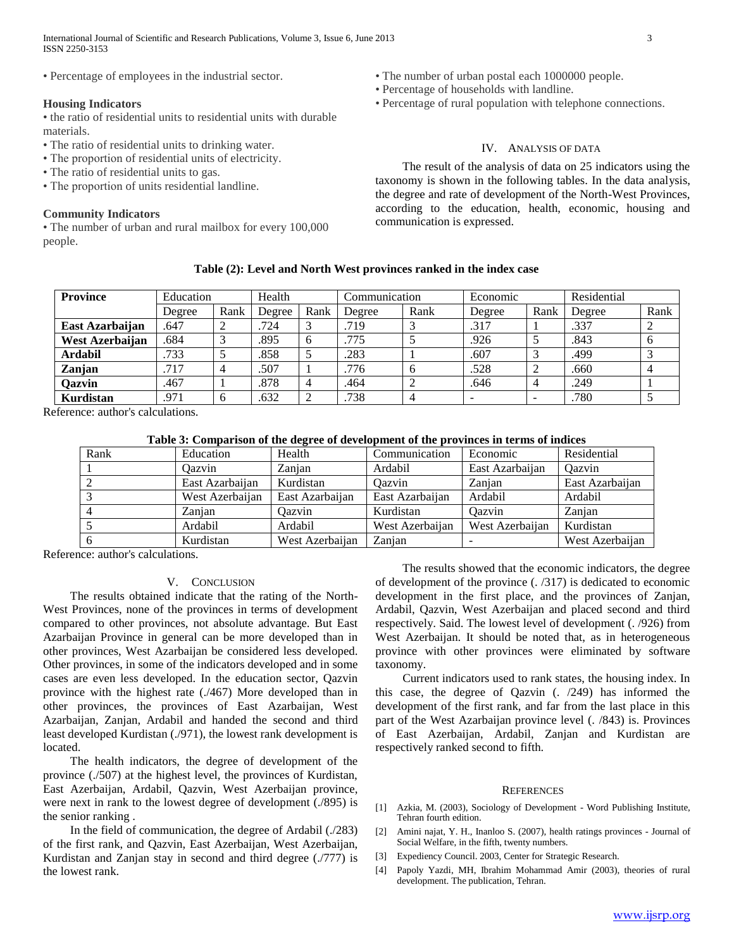International Journal of Scientific and Research Publications, Volume 3, Issue 6, June 2013 3 ISSN 2250-3153

• Percentage of employees in the industrial sector.

## **Housing Indicators**

• the ratio of residential units to residential units with durable materials.

- The ratio of residential units to drinking water.
- The proportion of residential units of electricity.
- The ratio of residential units to gas.
- The proportion of units residential landline.

#### **Community Indicators**

• The number of urban and rural mailbox for every 100,000 people.

- The number of urban postal each 1000000 people.
- Percentage of households with landline.
- Percentage of rural population with telephone connections.

## IV. ANALYSIS OF DATA

 The result of the analysis of data on 25 indicators using the taxonomy is shown in the following tables. In the data analysis, the degree and rate of development of the North-West Provinces, according to the education, health, economic, housing and communication is expressed.

| Province        | Education |      | Health |      | Communication |      | Economic |      | Residential |      |
|-----------------|-----------|------|--------|------|---------------|------|----------|------|-------------|------|
|                 | Degree    | Rank | Degree | Rank | Degree        | Rank | Degree   | Rank | Degree      | Rank |
| East Azarbaijan | .647      |      | .724   |      | .719          |      | .317     |      | .337        |      |
| West Azerbaijan | 684       |      | .895   | O    | 775           |      | .926     |      | .843        | O    |
| Ardabil         | .733      |      | .858   |      | 283           |      | .607     |      | .499        |      |
| Zanjan          | .717      |      | .507   |      | 776           |      | .528     |      | .660        |      |

**Qazvin** | .467 | 1 | .878 | 4 | .464 | 2 | .646 | 4 | .249 | 1 **Kurdistan** 1.971 6 .632 2 .738 4 - - 1 .780 5

**Table (2): Level and North West provinces ranked in the index case**

Reference: author's calculations.

## **Table 3: Comparison of the degree of development of the provinces in terms of indices**

| Rank | Education       | Health          | Communication   | Economic        | Residential     |
|------|-----------------|-----------------|-----------------|-----------------|-----------------|
|      | Oazvin          | Zanjan          | Ardabil         | East Azarbaijan | Oazvin          |
|      | East Azarbaijan | Kurdistan       | Oazvin          | Zanian          | East Azarbaijan |
|      | West Azerbaijan | East Azarbaijan | East Azarbaijan | Ardabil         | Ardabil         |
|      | Zanian          | Oazvin          | Kurdistan       | Qazvin          | Zanian          |
|      | Ardabil         | Ardabil         | West Azerbaijan | West Azerbaijan | Kurdistan       |
|      | Kurdistan       | West Azerbaijan | Zanjan          |                 | West Azerbaijan |

Reference: author's calculations.

## V. CONCLUSION

 The results obtained indicate that the rating of the North-West Provinces, none of the provinces in terms of development compared to other provinces, not absolute advantage. But East Azarbaijan Province in general can be more developed than in other provinces, West Azarbaijan be considered less developed. Other provinces, in some of the indicators developed and in some cases are even less developed. In the education sector, Qazvin province with the highest rate (./467) More developed than in other provinces, the provinces of East Azarbaijan, West Azarbaijan, Zanjan, Ardabil and handed the second and third least developed Kurdistan (./971), the lowest rank development is located.

 The health indicators, the degree of development of the province (./507) at the highest level, the provinces of Kurdistan, East Azerbaijan, Ardabil, Qazvin, West Azerbaijan province, were next in rank to the lowest degree of development (./895) is the senior ranking .

 In the field of communication, the degree of Ardabil (./283) of the first rank, and Qazvin, East Azerbaijan, West Azerbaijan, Kurdistan and Zanjan stay in second and third degree (./777) is the lowest rank.

 The results showed that the economic indicators, the degree of development of the province (. /317) is dedicated to economic development in the first place, and the provinces of Zanjan, Ardabil, Qazvin, West Azerbaijan and placed second and third respectively. Said. The lowest level of development (. /926) from West Azerbaijan. It should be noted that, as in heterogeneous province with other provinces were eliminated by software taxonomy.

 Current indicators used to rank states, the housing index. In this case, the degree of Qazvin (. /249) has informed the development of the first rank, and far from the last place in this part of the West Azarbaijan province level (. /843) is. Provinces of East Azerbaijan, Ardabil, Zanjan and Kurdistan are respectively ranked second to fifth.

#### **REFERENCES**

- [1] Azkia, M. (2003), Sociology of Development Word Publishing Institute, Tehran fourth edition.
- [2] Amini najat, Y. H., Inanloo S. (2007), health ratings provinces Journal of Social Welfare, in the fifth, twenty numbers.
- [3] Expediency Council. 2003, Center for Strategic Research.
- [4] Papoly Yazdi, MH, Ibrahim Mohammad Amir (2003), theories of rural development. The publication, Tehran.